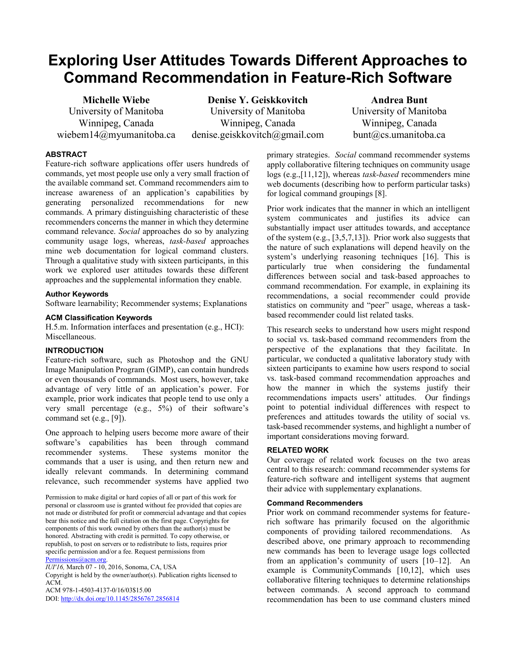# **Exploring User Attitudes Towards Different Approaches to Command Recommendation in Feature-Rich Software**

**Michelle Wiebe** University of Manitoba Winnipeg, Canada wiebem14@myumanitoba.ca

**Denise Y. Geiskkovitch** University of Manitoba Winnipeg, Canada denise.geiskkovitch@gmail.com

**Andrea Bunt** University of Manitoba Winnipeg, Canada bunt@cs.umanitoba.ca

# **ABSTRACT**

Feature-rich software applications offer users hundreds of commands, yet most people use only a very small fraction of the available command set. Command recommenders aim to increase awareness of an application's capabilities by generating personalized recommendations for new commands. A primary distinguishing characteristic of these recommenders concerns the manner in which they determine command relevance. *Social* approaches do so by analyzing community usage logs, whereas, *task-based* approaches mine web documentation for logical command clusters. Through a qualitative study with sixteen participants, in this work we explored user attitudes towards these different approaches and the supplemental information they enable.

## **Author Keywords**

Software learnability; Recommender systems; Explanations

## **ACM Classification Keywords**

H.5.m. Information interfaces and presentation (e.g., HCI): Miscellaneous.

## **INTRODUCTION**

Feature-rich software, such as Photoshop and the GNU Image Manipulation Program (GIMP), can contain hundreds or even thousands of commands. Most users, however, take advantage of very little of an application's power. For example, prior work indicates that people tend to use only a very small percentage (e.g., 5%) of their software's command set (e.g., [9]).

One approach to helping users become more aware of their software's capabilities has been through command recommender systems. These systems monitor the commands that a user is using, and then return new and ideally relevant commands. In determining command relevance, such recommender systems have applied two

Permission to make digital or hard copies of all or part of this work for personal or classroom use is granted without fee provided that copies are not made or distributed for profit or commercial advantage and that copies bear this notice and the full citation on the first page. Copyrights for components of this work owned by others than the author(s) must be honored. Abstracting with credit is permitted. To copy otherwise, or republish, to post on servers or to redistribute to lists, requires prior specific permission and/or a fee. Request permissions from [Permissions@acm.org.](mailto:Permissions@acm.org)

*IUI'16,* March 07 - 10, 2016, Sonoma, CA, USA

Copyright is held by the owner/author(s). Publication rights licensed to ACM.

ACM 978-1-4503-4137-0/16/03\$15.00

DOI[: http://dx.doi.org/10.1145/2856767.2856814](http://dx.doi.org/10.1145/2856767.2856814)

primary strategies. *Social* command recommender systems apply collaborative filtering techniques on community usage logs (e.g.,[11,12]), whereas *task-based* recommenders mine web documents (describing how to perform particular tasks) for logical command groupings [8].

Prior work indicates that the manner in which an intelligent system communicates and justifies its advice can substantially impact user attitudes towards, and acceptance of the system (e.g., [3,5,7,13]). Prior work also suggests that the nature of such explanations will depend heavily on the system's underlying reasoning techniques [16]. This is particularly true when considering the fundamental differences between social and task-based approaches to command recommendation. For example, in explaining its recommendations, a social recommender could provide statistics on community and "peer" usage, whereas a taskbased recommender could list related tasks.

This research seeks to understand how users might respond to social vs. task-based command recommenders from the perspective of the explanations that they facilitate. In particular, we conducted a qualitative laboratory study with sixteen participants to examine how users respond to social vs. task-based command recommendation approaches and how the manner in which the systems justify their recommendations impacts users' attitudes. Our findings point to potential individual differences with respect to preferences and attitudes towards the utility of social vs. task-based recommender systems, and highlight a number of important considerations moving forward.

## **RELATED WORK**

Our coverage of related work focuses on the two areas central to this research: command recommender systems for feature-rich software and intelligent systems that augment their advice with supplementary explanations.

#### **Command Recommenders**

Prior work on command recommender systems for featurerich software has primarily focused on the algorithmic components of providing tailored recommendations. As described above, one primary approach to recommending new commands has been to leverage usage logs collected from an application's community of users [10–12]. An example is CommunityCommands [10,12], which uses collaborative filtering techniques to determine relationships between commands. A second approach to command recommendation has been to use command clusters mined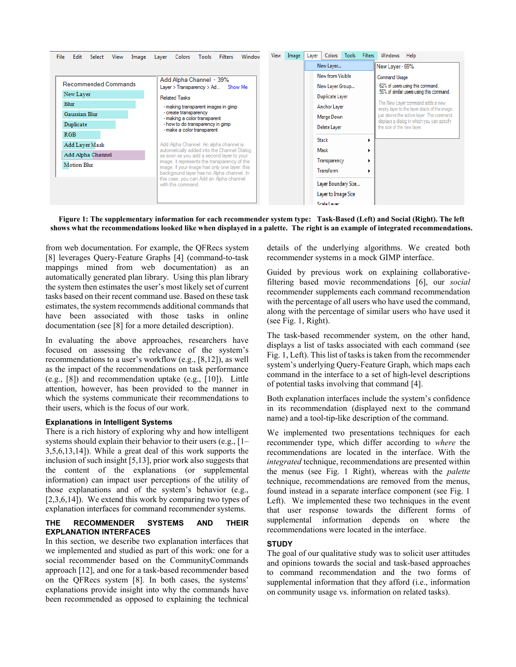

**Figure 1: The supplementary information for each recommender system type: Task-Based (Left) and Social (Right). The left shows what the recommendations looked like when displayed in a palette. The right is an example of integrated recommendations.** 

from web documentation. For example, the QFRecs system [8] leverages Query-Feature Graphs [4] (command-to-task mappings mined from web documentation) as an automatically generated plan library. Using this plan library the system then estimates the user's most likely set of current tasks based on their recent command use. Based on these task estimates, the system recommends additional commands that have been associated with those tasks in online documentation (see [8] for a more detailed description).

In evaluating the above approaches, researchers have focused on assessing the relevance of the system's recommendations to a user's workflow (e.g., [8,12]), as well as the impact of the recommendations on task performance (e.g., [8]) and recommendation uptake (e.g., [10]). Little attention, however, has been provided to the manner in which the systems communicate their recommendations to their users, which is the focus of our work.

## **Explanations in Intelligent Systems**

There is a rich history of exploring why and how intelligent systems should explain their behavior to their users (e.g., [1– 3,5,6,13,14]). While a great deal of this work supports the inclusion of such insight [5,13], prior work also suggests that the content of the explanations (or supplemental information) can impact user perceptions of the utility of those explanations and of the system's behavior (e.g., [2,3,6,14]). We extend this work by comparing two types of explanation interfaces for command recommender systems.

## **THE RECOMMENDER SYSTEMS AND THEIR EXPLANATION INTERFACES**

In this section, we describe two explanation interfaces that we implemented and studied as part of this work: one for a social recommender based on the CommunityCommands approach [12], and one for a task-based recommender based on the QFRecs system [8]. In both cases, the systems' explanations provide insight into why the commands have been recommended as opposed to explaining the technical details of the underlying algorithms. We created both recommender systems in a mock GIMP interface.

Guided by previous work on explaining collaborativefiltering based movie recommendations [6], our *social* recommender supplements each command recommendation with the percentage of all users who have used the command, along with the percentage of similar users who have used it (see Fig. 1, Right).

The task-based recommender system, on the other hand, displays a list of tasks associated with each command (see Fig. 1, Left). This list of tasks is taken from the recommender system's underlying Query-Feature Graph, which maps each command in the interface to a set of high-level descriptions of potential tasks involving that command [4].

Both explanation interfaces include the system's confidence in its recommendation (displayed next to the command name) and a tool-tip-like description of the command.

We implemented two presentations techniques for each recommender type, which differ according to *where* the recommendations are located in the interface. With the *integrated* technique, recommendations are presented within the menus (see Fig. 1 Right), whereas with the *palette* technique, recommendations are removed from the menus, found instead in a separate interface component (see Fig. 1 Left). We implemented these two techniques in the event that user response towards the different forms of supplemental information depends on where the recommendations were located in the interface.

## **STUDY**

The goal of our qualitative study was to solicit user attitudes and opinions towards the social and task-based approaches to command recommendation and the two forms of supplemental information that they afford (i.e., information on community usage vs. information on related tasks).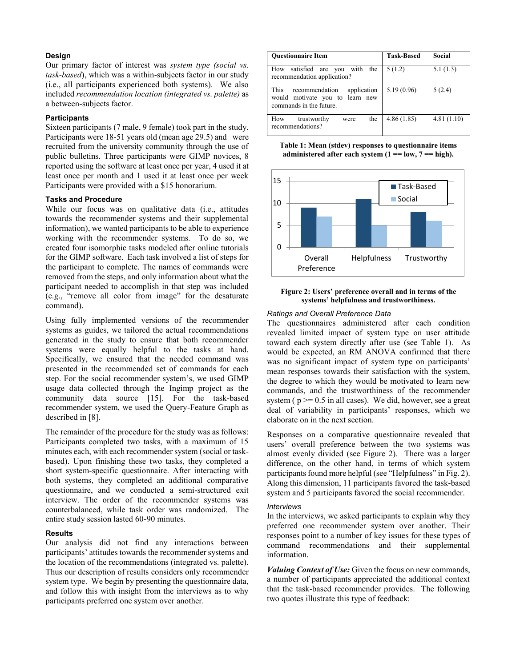## **Design**

Our primary factor of interest was *system type (social vs. task-based*), which was a within-subjects factor in our study (i.e., all participants experienced both systems). We also included *recommendation location (integrated vs. palette)* as a between-subjects factor.

### **Participants**

Sixteen participants (7 male, 9 female) took part in the study. Participants were 18-51 years old (mean age 29.5) and were recruited from the university community through the use of public bulletins. Three participants were GIMP novices, 8 reported using the software at least once per year, 4 used it at least once per month and 1 used it at least once per week Participants were provided with a \$15 honorarium.

## **Tasks and Procedure**

While our focus was on qualitative data (i.e., attitudes towards the recommender systems and their supplemental information), we wanted participants to be able to experience working with the recommender systems. To do so, we created four isomorphic tasks modeled after online tutorials for the GIMP software. Each task involved a list of steps for the participant to complete. The names of commands were removed from the steps, and only information about what the participant needed to accomplish in that step was included (e.g., "remove all color from image" for the desaturate command).

Using fully implemented versions of the recommender systems as guides, we tailored the actual recommendations generated in the study to ensure that both recommender systems were equally helpful to the tasks at hand. Specifically, we ensured that the needed command was presented in the recommended set of commands for each step. For the social recommender system's, we used GIMP usage data collected through the Ingimp project as the community data source [15]. For the task-based recommender system, we used the Query-Feature Graph as described in [8].

The remainder of the procedure for the study was as follows: Participants completed two tasks, with a maximum of 15 minutes each, with each recommender system (social or taskbased). Upon finishing these two tasks, they completed a short system-specific questionnaire. After interacting with both systems, they completed an additional comparative questionnaire, and we conducted a semi-structured exit interview. The order of the recommender systems was counterbalanced, while task order was randomized. The entire study session lasted 60-90 minutes.

#### **Results**

Our analysis did not find any interactions between participants' attitudes towards the recommender systems and the location of the recommendations (integrated vs. palette). Thus our description of results considers only recommender system type. We begin by presenting the questionnaire data, and follow this with insight from the interviews as to why participants preferred one system over another.

| <b>Ouestionnaire Item</b>                                                                                  | <b>Task-Based</b> | Social     |
|------------------------------------------------------------------------------------------------------------|-------------------|------------|
| How satisfied are you with the<br>recommendation application?                                              | 5(1.2)            | 5.1(1.3)   |
| recommendation<br>application<br><b>This</b><br>would motivate you to learn new<br>commands in the future. | 5.19(0.96)        | 5(2.4)     |
| How<br>trustworthy<br>the<br>were<br>recommendations?                                                      | 4.86(1.85)        | 4.81(1.10) |

**Table 1: Mean (stdev) responses to questionnaire items administered after each system (1 == low, 7 == high).** 



#### **Figure 2: Users' preference overall and in terms of the systems' helpfulness and trustworthiness.**

#### *Ratings and Overall Preference Data*

The questionnaires administered after each condition revealed limited impact of system type on user attitude toward each system directly after use (see Table 1). As would be expected, an RM ANOVA confirmed that there was no significant impact of system type on participants' mean responses towards their satisfaction with the system, the degree to which they would be motivated to learn new commands, and the trustworthiness of the recommender system ( $p \ge 0.5$  in all cases). We did, however, see a great deal of variability in participants' responses, which we elaborate on in the next section.

Responses on a comparative questionnaire revealed that users' overall preference between the two systems was almost evenly divided (see Figure 2). There was a larger difference, on the other hand, in terms of which system participants found more helpful (see "Helpfulness" in Fig. 2). Along this dimension, 11 participants favored the task-based system and 5 participants favored the social recommender.

#### *Interviews*

In the interviews, we asked participants to explain why they preferred one recommender system over another. Their responses point to a number of key issues for these types of command recommendations and their supplemental information.

*Valuing Context of Use:* Given the focus on new commands, a number of participants appreciated the additional context that the task-based recommender provides. The following two quotes illustrate this type of feedback: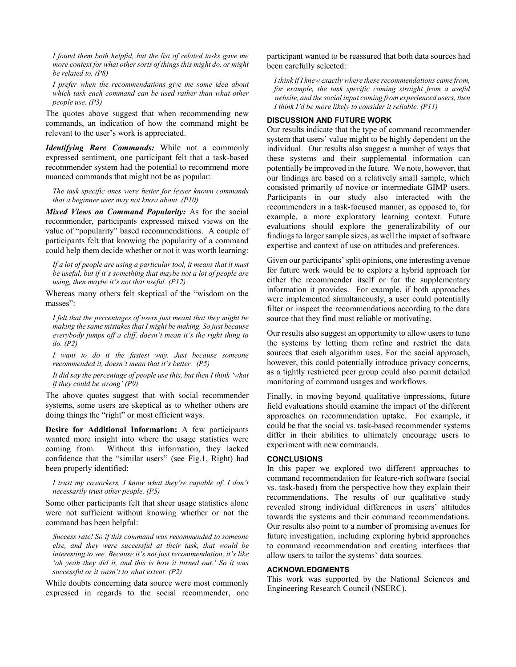*I found them both helpful, but the list of related tasks gave me more context for what other sorts of things this might do, or might be related to. (P8)*

*I prefer when the recommendations give me some idea about which task each command can be used rather than what other people use. (P3)*

The quotes above suggest that when recommending new commands, an indication of how the command might be relevant to the user's work is appreciated.

*Identifying Rare Commands:* While not a commonly expressed sentiment, one participant felt that a task-based recommender system had the potential to recommend more nuanced commands that might not be as popular:

*The task specific ones were better for lesser known commands that a beginner user may not know about. (P10)*

*Mixed Views on Command Popularity:* As for the social recommender, participants expressed mixed views on the value of "popularity" based recommendations. A couple of participants felt that knowing the popularity of a command could help them decide whether or not it was worth learning:

*If a lot of people are using a particular tool, it means that it must be useful, but if it's something that maybe not a lot of people are using, then maybe it's not that useful. (P12)*

Whereas many others felt skeptical of the "wisdom on the masses":

*I felt that the percentages of users just meant that they might be making the same mistakes that I might be making. So just because everybody jumps off a cliff, doesn't mean it's the right thing to do. (P2)*

*I want to do it the fastest way. Just because someone recommended it, doesn't mean that it's better. (P5)*

*It did say the percentage of people use this, but then I think 'what if they could be wrong' (P9)*

The above quotes suggest that with social recommender systems, some users are skeptical as to whether others are doing things the "right" or most efficient ways.

**Desire for Additional Information:** A few participants wanted more insight into where the usage statistics were coming from. Without this information, they lacked confidence that the "similar users" (see Fig.1, Right) had been properly identified:

*I trust my coworkers, I know what they're capable of. I don't necessarily trust other people. (P5)*

Some other participants felt that sheer usage statistics alone were not sufficient without knowing whether or not the command has been helpful:

*Success rate! So if this command was recommended to someone else, and they were successful at their task, that would be interesting to see. Because it's not just recommendation, it's like 'oh yeah they did it, and this is how it turned out.' So it was successful or it wasn't to what extent. (P2)*

While doubts concerning data source were most commonly expressed in regards to the social recommender, one

participant wanted to be reassured that both data sources had been carefully selected:

*I think if I knew exactly where these recommendations came from, for example, the task specific coming straight from a useful website, and the social input coming from experienced users, then I think I'd be more likely to consider it reliable. (P11)*

## **DISCUSSION AND FUTURE WORK**

Our results indicate that the type of command recommender system that users' value might to be highly dependent on the individual. Our results also suggest a number of ways that these systems and their supplemental information can potentially be improved in the future. We note, however, that our findings are based on a relatively small sample, which consisted primarily of novice or intermediate GIMP users. Participants in our study also interacted with the recommenders in a task-focused manner, as opposed to, for example, a more exploratory learning context. Future evaluations should explore the generalizability of our findings to larger sample sizes, as well the impact of software expertise and context of use on attitudes and preferences.

Given our participants' split opinions, one interesting avenue for future work would be to explore a hybrid approach for either the recommender itself or for the supplementary information it provides. For example, if both approaches were implemented simultaneously, a user could potentially filter or inspect the recommendations according to the data source that they find most reliable or motivating.

Our results also suggest an opportunity to allow users to tune the systems by letting them refine and restrict the data sources that each algorithm uses. For the social approach, however, this could potentially introduce privacy concerns, as a tightly restricted peer group could also permit detailed monitoring of command usages and workflows.

Finally, in moving beyond qualitative impressions, future field evaluations should examine the impact of the different approaches on recommendation uptake. For example, it could be that the social vs. task-based recommender systems differ in their abilities to ultimately encourage users to experiment with new commands.

# **CONCLUSIONS**

In this paper we explored two different approaches to command recommendation for feature-rich software (social vs. task-based) from the perspective how they explain their recommendations. The results of our qualitative study revealed strong individual differences in users' attitudes towards the systems and their command recommendations. Our results also point to a number of promising avenues for future investigation, including exploring hybrid approaches to command recommendation and creating interfaces that allow users to tailor the systems' data sources.

## **ACKNOWLEDGMENTS**

This work was supported by the National Sciences and Engineering Research Council (NSERC).